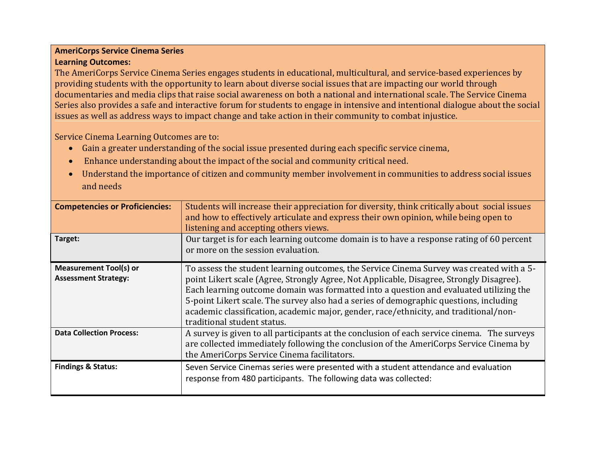## **AmeriCorps Service Cinema Series Learning Outcomes:**

The AmeriCorps Service Cinema Series engages students in educational, multicultural, and service-based experiences by providing students with the opportunity to learn about diverse social issues that are impacting our world through documentaries and media clips that raise social awareness on both a national and international scale. The Service Cinema Series also provides a safe and interactive forum for students to engage in intensive and intentional dialogue about the social issues as well as address ways to impact change and take action in their community to combat injustice.

Service Cinema Learning Outcomes are to:

- Gain a greater understanding of the social issue presented during each specific service cinema,
- Enhance understanding about the impact of the social and community critical need.
- Understand the importance of citizen and community member involvement in communities to address social issues and needs

| <b>Competencies or Proficiencies:</b><br>Target:             | Students will increase their appreciation for diversity, think critically about social issues<br>and how to effectively articulate and express their own opinion, while being open to<br>listening and accepting others views.<br>Our target is for each learning outcome domain is to have a response rating of 60 percent<br>or more on the session evaluation.                                                                                                                                |
|--------------------------------------------------------------|--------------------------------------------------------------------------------------------------------------------------------------------------------------------------------------------------------------------------------------------------------------------------------------------------------------------------------------------------------------------------------------------------------------------------------------------------------------------------------------------------|
| <b>Measurement Tool(s) or</b><br><b>Assessment Strategy:</b> | To assess the student learning outcomes, the Service Cinema Survey was created with a 5-<br>point Likert scale (Agree, Strongly Agree, Not Applicable, Disagree, Strongly Disagree).<br>Each learning outcome domain was formatted into a question and evaluated utilizing the<br>5-point Likert scale. The survey also had a series of demographic questions, including<br>academic classification, academic major, gender, race/ethnicity, and traditional/non-<br>traditional student status. |
| <b>Data Collection Process:</b>                              | A survey is given to all participants at the conclusion of each service cinema. The surveys<br>are collected immediately following the conclusion of the AmeriCorps Service Cinema by<br>the AmeriCorps Service Cinema facilitators.                                                                                                                                                                                                                                                             |
| <b>Findings &amp; Status:</b>                                | Seven Service Cinemas series were presented with a student attendance and evaluation<br>response from 480 participants. The following data was collected:                                                                                                                                                                                                                                                                                                                                        |